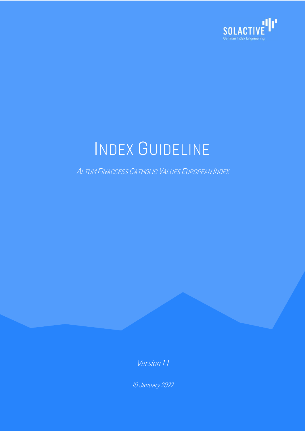

# INDEX GUIDELINE

ALTUM FINACCESS CATHOLIC VALUES EUROPEAN INDEX

Version 1.1

10 January 2022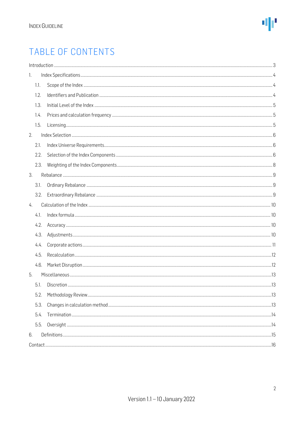### TABLE OF CONTENTS

|      | $\label{f:1} \mbox{Introduction} \,\, \ldots \,\, \ldots \,\, \ldots \,\, \ldots \,\, \ldots \,\, \ldots \,\, \ldots \,\, \ldots \,\, \ldots \,\, \ldots \,\, \ldots \,\, \ldots \,\, \ldots \,\, \ldots \,\, \ldots \,\, \ldots \,\, \ldots \,\, \ldots \,\, \ldots \,\, \ldots \,\, \ldots \,\, \ldots \,\, \ldots \,\, \ldots \,\, \ldots \,\, \ldots \,\, \ldots \,\, \ldots \,\, \ldots \,\, \ldots \,\, \ldots \,\, \ldots \,\, \ldots \,\, \ldots \,\,$ |  |
|------|----------------------------------------------------------------------------------------------------------------------------------------------------------------------------------------------------------------------------------------------------------------------------------------------------------------------------------------------------------------------------------------------------------------------------------------------------------------|--|
| 1.   |                                                                                                                                                                                                                                                                                                                                                                                                                                                                |  |
| 1.1. |                                                                                                                                                                                                                                                                                                                                                                                                                                                                |  |
| 1.2. |                                                                                                                                                                                                                                                                                                                                                                                                                                                                |  |
| 1.3. |                                                                                                                                                                                                                                                                                                                                                                                                                                                                |  |
| 1.4. |                                                                                                                                                                                                                                                                                                                                                                                                                                                                |  |
| 1.5. |                                                                                                                                                                                                                                                                                                                                                                                                                                                                |  |
| 2.   |                                                                                                                                                                                                                                                                                                                                                                                                                                                                |  |
| 2.1. |                                                                                                                                                                                                                                                                                                                                                                                                                                                                |  |
| 2.2. |                                                                                                                                                                                                                                                                                                                                                                                                                                                                |  |
| 2.3. |                                                                                                                                                                                                                                                                                                                                                                                                                                                                |  |
| 3.   |                                                                                                                                                                                                                                                                                                                                                                                                                                                                |  |
| 3.1. |                                                                                                                                                                                                                                                                                                                                                                                                                                                                |  |
| 3.2. |                                                                                                                                                                                                                                                                                                                                                                                                                                                                |  |
| 4.   |                                                                                                                                                                                                                                                                                                                                                                                                                                                                |  |
| 4.1. |                                                                                                                                                                                                                                                                                                                                                                                                                                                                |  |
| 4.2. |                                                                                                                                                                                                                                                                                                                                                                                                                                                                |  |
| 4.3. |                                                                                                                                                                                                                                                                                                                                                                                                                                                                |  |
| 4.4. |                                                                                                                                                                                                                                                                                                                                                                                                                                                                |  |
| 4.5. |                                                                                                                                                                                                                                                                                                                                                                                                                                                                |  |
| 4.6. |                                                                                                                                                                                                                                                                                                                                                                                                                                                                |  |
| 5.   |                                                                                                                                                                                                                                                                                                                                                                                                                                                                |  |
| 5.1. |                                                                                                                                                                                                                                                                                                                                                                                                                                                                |  |
| 5.2. |                                                                                                                                                                                                                                                                                                                                                                                                                                                                |  |
| 5.3. |                                                                                                                                                                                                                                                                                                                                                                                                                                                                |  |
| 5.4. |                                                                                                                                                                                                                                                                                                                                                                                                                                                                |  |
| 5.5. |                                                                                                                                                                                                                                                                                                                                                                                                                                                                |  |
| 6.   |                                                                                                                                                                                                                                                                                                                                                                                                                                                                |  |
|      |                                                                                                                                                                                                                                                                                                                                                                                                                                                                |  |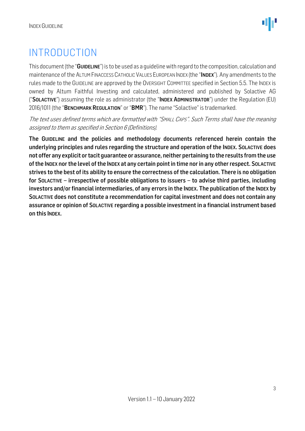### <span id="page-2-0"></span>INTRODUCTION

This document (the "GUIDELINE") is to be used as a quideline with regard to the composition, calculation and maintenance of the ALTUM FINACCESS CATHOLIC VALUES EUROPEAN INDEX (the "INDEX"). Any amendments to the rules made to the GUIDELINE are approved by the OVERSIGHT COMMITTEE specified in Section 5.5. The INDEX is owned by Altum Faithful Investing and calculated, administered and published by Solactive AG ("SOLACTIVE") assuming the role as administrator (the "INDEX ADMINISTRATOR") under the Regulation (EU) 2016/1011 (the "BENCHMARK REGULATION" or "BMR"). The name "Solactive" is trademarked.

The text uses defined terms which are formatted with "SMALL CAPS". Such Terms shall have the meaning assigned to them as specified in Section 6 (Definitions).

The GUIDELINE and the policies and methodology documents referenced herein contain the underlying principles and rules regarding the structure and operation of the INDEX. SOLACTIVE does not offer any explicit or tacit guarantee or assurance, neither pertaining to the results from the use of the INDEX nor the level of the INDEX at any certain point in time nor in any other respect. SOLACTIVE strives to the best of its ability to ensure the correctness of the calculation. There is no obligation for SOLACTIVE – irrespective of possible obligations to issuers – to advise third parties, including investors and/or financial intermediaries, of any errors in the INDEX. The publication of the INDEX by SOLACTIVE does not constitute a recommendation for capital investment and does not contain any assurance or opinion of SOLACTIVE regarding a possible investment in a financial instrument based on this INDEX.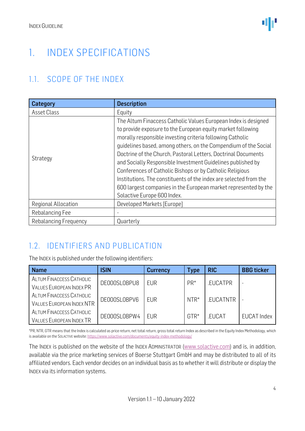### <span id="page-3-0"></span>1. INDEX SPECIFICATIONS

### <span id="page-3-1"></span>1.1. SCOPE OF THE INDEX

| Category              | <b>Description</b>                                                |  |  |  |
|-----------------------|-------------------------------------------------------------------|--|--|--|
| Asset Class           | Equity                                                            |  |  |  |
|                       | The Altum Finaccess Catholic Values European Index is designed    |  |  |  |
|                       | to provide exposure to the European equity market following       |  |  |  |
|                       | morally responsible investing criteria following Catholic         |  |  |  |
|                       | quidelines based, among others, on the Compendium of the Social   |  |  |  |
|                       | Doctrine of the Church, Pastoral Letters, Doctrinal Documents     |  |  |  |
| Strategy              | and Socially Responsible Investment Guidelines published by       |  |  |  |
|                       | Conferences of Catholic Bishops or by Catholic Religious          |  |  |  |
|                       | Institutions. The constituents of the index are selected from the |  |  |  |
|                       | 600 largest companies in the European market represented by the   |  |  |  |
|                       | Solactive Europe 600 Index.                                       |  |  |  |
| Regional Allocation   | Developed Markets [Europe]                                        |  |  |  |
| Rebalancing Fee       |                                                                   |  |  |  |
| Rebalancing Frequency | Quarterly                                                         |  |  |  |

### <span id="page-3-2"></span>1.2. IDENTIFIERS AND PUBLICATION

The INDEX is published under the following identifiers:

| <b>Name</b>                              | <b>ISIN</b>  | Currency   | Type   | <b>RIC</b>      | <b>BBG</b> ticker  |
|------------------------------------------|--------------|------------|--------|-----------------|--------------------|
| ALTUM FINACCESS CATHOLIC                 | DE000SL0BPU8 | EUR        | $PR*$  | .EUCATPR        |                    |
| <b>VALUES EUROPEAN INDEX PR</b>          |              |            |        |                 |                    |
| ALTUM FINACCESS CATHOLIC<br>DE000SL0BPV6 |              | <b>FUR</b> | $NTR*$ | <b>EUCATNTR</b> |                    |
| <b>VALUES EUROPEAN INDEX NTR</b>         |              |            |        |                 |                    |
| ALTUM FINACCESS CATHOLIC                 | DE000SL0BPW4 | <b>EUR</b> | $GTR*$ | .EUCAT          | <b>EUCAT Index</b> |
| <b>VALUES EUROPEAN INDEX TR</b>          |              |            |        |                 |                    |

\*PR, NTR, GTR means that the Index is calculated as price return, net total return, gross total return Index as described in the Equity Index Methodology, which is available on the SOLACTIVE website[: https://www.solactive.com/documents/equity-index-methodology/](https://www.solactive.com/documents/equity-index-methodology/)

The INDEX is published on the website of the INDEX ADMINISTRATOR [\(www.solactive.com\)](http://www.solactive.com/) and is, in addition, available via the price marketing services of Boerse Stuttgart GmbH and may be distributed to all of its affiliated vendors. Each vendor decides on an individual basis as to whether it will distribute or display the INDEX via its information systems.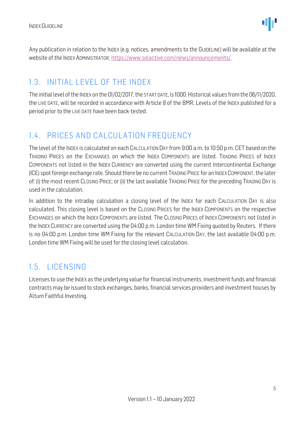Any publication in relation to the INDEX (e.g. notices, amendments to the GUIDELINE) will be available at the website of the INDEX ADMINISTRATOR: [https://www.solactive.com/news/announcements/.](https://www.solactive.com/news/announcements/)

### <span id="page-4-0"></span>1.3. INITIAL LEVEL OF THE INDEX

The initial level of the INDEX on the 01/02/2017, the START DATE, is 1000. Historical values from the 06/11/2020, the LIVE DATE, will be recorded in accordance with Article 8 of the BMR. Levels of the INDEX published for a period prior to the LIVE DATE have been back-tested.

### <span id="page-4-1"></span>1.4. PRICES AND CALCULATION FREQUENCY

The level of the INDEX is calculated on each CALCULATION DAY from 9:00 a.m. to 10:50 p.m. CET based on the TRADING PRICES on the EXCHANGES on which the INDEX COMPONENTS are listed. TRADING PRICES of INDEX COMPONENTS not listed in the INDEX CURRENCY are converted using the current Intercontinental Exchange (ICE) spot foreign exchange rate. Should there be no current TRADING PRICE for an INDEXCOMPONENT, the later of: (i) the most recent CLOSING PRICE; or (ii) the last available TRADING PRICE for the preceding TRADING DAY is used in the calculation.

In addition to the intraday calculation a closing level of the INDEX for each CALCULATION DAY is also calculated. This closing level is based on the CLOSING PRICES for the INDEX COMPONENTS on the respective EXCHANGES on which the INDEX COMPONENTS are listed. The CLOSING PRICES of INDEX COMPONENTS not listed in the INDEX CURRENCY are converted using the 04:00 p.m. London time WM Fixing quoted by Reuters. If there is no 04:00 p.m. London time WM Fixing for the relevant CALCULATION DAY, the last available 04:00 p.m. London time WM Fixing will be used for the closing level calculation.

### <span id="page-4-2"></span>1.5. LICENSING

Licenses to use the INDEX as the underlying value for financial instruments, investment funds and financial contracts may be issued to stock exchanges, banks, financial services providers and investment houses by Altum Faithful Investing.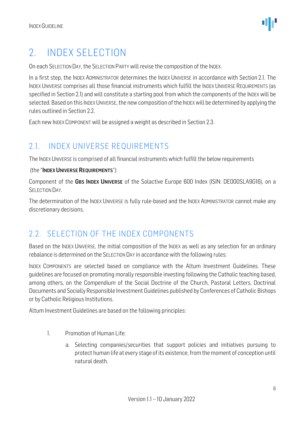### <span id="page-5-0"></span>2. INDEX SELECTION

On each SELECTION DAY, the SELECTION PARTY will revise the composition of the INDEX.

In a first step, the INDEX ADMINISTRATOR determines the INDEX UNIVERSE in accordance with Section 2.1. The INDEX UNIVERSE comprises all those financial instruments which fulfill the INDEX UNIVERSE REQUIREMENTS (as specified in Section 2.1) and will constitute a starting pool from which the components of the INDEX will be selected. Based on this INDEX UNIVERSE, the new composition of the INDEX will be determined by applying the rules outlined in Section 2.2.

Each new INDEX COMPONENT will be assigned a weight as described in Section 2.3.

### <span id="page-5-1"></span>2.1. INDEX UNIVERSE REQUIREMENTS

The INDEX UNIVERSE is comprised of all financial instruments which fulfill the below requirements

#### (the "INDEX UNIVERSE REQUIREMENTS"):

Component of the GBS INDEX UNIVERSE of the Solactive Europe 600 Index (ISIN: DE000SLA9G16), on a **SELECTION DAY** 

The determination of the INDEX UNIVERSE is fully rule-based and the INDEX ADMINISTRATOR cannot make any discretionary decisions.

#### <span id="page-5-2"></span>2.2. SELECTION OF THE INDEX COMPONENTS

Based on the INDEX UNIVERSE, the initial composition of the INDEX as well as any selection for an ordinary rebalance is determined on the SELECTION DAY in accordance with the following rules:

INDEX COMPONENTS are selected based on compliance with the Altum Investment Guidelines. These guidelines are focused on promoting morally responsible investing following the Catholic teaching based, among others, on the Compendium of the Social Doctrine of the Church, Pastoral Letters, Doctrinal Documents and Socially Responsible Investment Guidelines published by Conferences of Catholic Bishops or by Catholic Religious Institutions.

Altum Investment Guidelines are based on the following principles:

- 1. Promotion of Human Life:
	- a. Selecting companies/securities that support policies and initiatives pursuing to protect human life at every stage of its existence, from the moment of conception until natural death.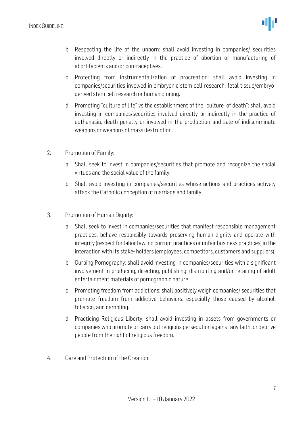- b. Respecting the life of the unborn: shall avoid investing in companies/ securities involved directly or indirectly in the practice of abortion or manufacturing of abortifacients and/or contraceptives.
- c. Protecting from instrumentalization of procreation: shall avoid investing in companies/securities involved in embryonic stem cell research, fetal tissue/embryoderived stem cell research or human cloning.
- d. Promoting "culture of life" vs the establishment of the "culture of death": shall avoid investing in companies/securities involved directly or indirectly in the practice of euthanasia, death penalty or involved in the production and sale of indiscriminate weapons or weapons of mass destruction.
- 2. Promotion of Family:
	- a. Shall seek to invest in companies/securities that promote and recognize the social virtues and the social value of the family.
	- b. Shall avoid investing in companies/securities whose actions and practices actively attack the Catholic conception of marriage and family.
- 3. Promotion of Human Dignity:
	- a. Shall seek to invest in companies/securities that manifest responsible management practices, behave responsibly towards preserving human dignity and operate with integrity (respect for labor law, no corrupt practices or unfair business practices) in the interaction with its stake- holders (employees, competitors, customers and suppliers).
	- b. Curbing Pornography: shall avoid investing in companies/securities with a significant involvement in producing, directing, publishing, distributing and/or retailing of adult entertainment materials of pornographic nature.
	- c. Promoting freedom from addictions: shall positively weigh companies/ securities that promote freedom from addictive behaviors, especially those caused by alcohol, tobacco, and gambling.
	- d. Practicing Religious Liberty: shall avoid investing in assets from governments or companies who promote or carry out religious persecution against any faith, or deprive people from the right of religious freedom.
- 4. Care and Protection of the Creation: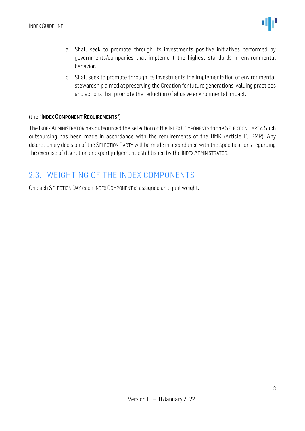- a. Shall seek to promote through its investments positive initiatives performed by governments/companies that implement the highest standards in environmental behavior.
- b. Shall seek to promote through its investments the implementation of environmental stewardship aimed at preserving the Creation for future generations, valuing practices and actions that promote the reduction of abusive environmental impact.

#### (the "INDEX COMPONENT REQUIREMENTS").

The INDEX ADMINISTRATOR has outsourced the selection of the INDEX COMPONENTS to the SELECTION PARTY. Such outsourcing has been made in accordance with the requirements of the BMR (Article 10 BMR). Any discretionary decision of the SELECTION PARTY will be made in accordance with the specifications regarding the exercise of discretion or expert judgement established by the INDEX ADMINISTRATOR.

#### <span id="page-7-0"></span>2.3. WEIGHTING OF THE INDEX COMPONENTS

On each SELECTION DAY each INDEX COMPONENT is assigned an equal weight.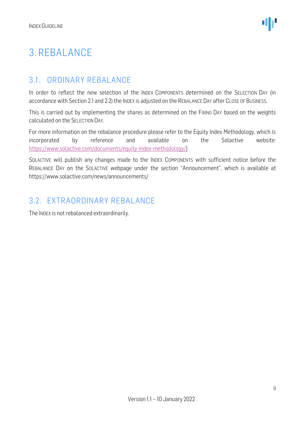## <span id="page-8-0"></span>3. REBALANCE

### <span id="page-8-1"></span>3.1. ORDINARY REBALANCE

In order to reflect the new selection of the INDEX COMPONENTS determined on the SELECTION DAY (in accordance with Section 2.1 and 2.2) the INDEX is adjusted on the REBALANCE DAY after CLOSE OF BUSINESS.

This is carried out by implementing the shares as determined on the FIXING DAY based on the weights calculated on the SELECTION DAY.

For more information on the rebalance procedure please refer to the Equity Index Methodology, which is incorporated by reference and available on the Solactive website: [https://www.solactive.com/documents/equity-index-methodology/\]](https://www.solactive.com/documents/equity-index-methodology/)

SOLACTIVE will publish any changes made to the INDEX COMPONENTS with sufficient notice before the REBALANCE DAY on the SOLACTIVE webpage under the section "Announcement", which is available at https://www.solactive.com/news/announcements/

#### <span id="page-8-2"></span>3.2. EXTRAORDINARY REBALANCE

The INDEX is not rebalanced extraordinarily.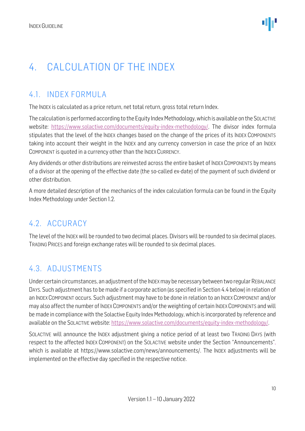### <span id="page-9-0"></span>4. CALCULATION OF THE INDEX

### <span id="page-9-1"></span>4.1. INDEX FORMULA

The INDEX is calculated as a price return, net total return, gross total return Index.

The calculation is performed according to the Equity Index Methodology, which is available on the SOLACTIVE website: [https://www.solactive.com/documents/equity-index-methodology/.](https://www.solactive.com/documents/equity-index-methodology/) The divisor index formula stipulates that the level of the INDEX changes based on the change of the prices of its INDEX COMPONENTS taking into account their weight in the INDEX and any currency conversion in case the price of an INDEX COMPONENT is quoted in a currency other than the INDEX CURRENCY.

Any dividends or other distributions are reinvested across the entire basket of INDEX COMPONENTS by means of a divisor at the opening of the effective date (the so-called ex-date) of the payment of such dividend or other distribution.

A more detailed description of the mechanics of the index calculation formula can be found in the Equity Index Methodology under Section 1.2.

### <span id="page-9-2"></span>4.2. ACCURACY

The level of the INDEX will be rounded to two decimal places. Divisors will be rounded to six decimal places. TRADING PRICES and foreign exchange rates will be rounded to six decimal places.

### <span id="page-9-3"></span>4.3. ADJUSTMENTS

Under certain circumstances, an adjustment of the INDEXmay be necessary between two regular REBALANCE DAYS. Such adjustment has to be made if a corporate action (as specified in Section 4.4 below) in relation of an INDEX COMPONENT occurs. Such adjustment may have to be done in relation to an INDEX COMPONENT and/or may also affect the number of INDEX COMPONENTS and/or the weighting of certain INDEX COMPONENTS and will be made in compliance with the Solactive Equity Index Methodology, which is incorporated by reference and available on the SOLACTIVE website: [https://www.solactive.com/documents/equity-index-methodology/.](https://www.solactive.com/documents/equity-index-methodology/)

SOLACTIVE will announce the INDEX adjustment giving a notice period of at least two TRADING DAYS (with respect to the affected INDEX COMPONENT) on the SOLACTIVE website under the Section "Announcements", which is available at https://www.solactive.com/news/announcements/. The INDEX adjustments will be implemented on the effective day specified in the respective notice.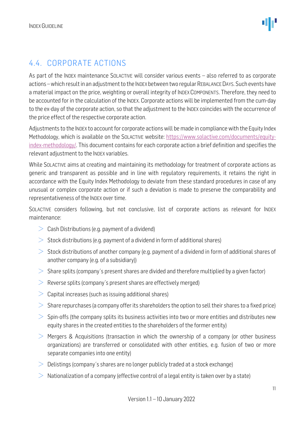### <span id="page-10-0"></span>4.4. CORPORATE ACTIONS

As part of the INDEX maintenance SOLACTIVE will consider various events – also referred to as corporate actions –which result in an adjustment to the INDEX between two regular REBALANCE DAYS. Such events have a material impact on the price, weighting or overall integrity of INDEX COMPONENTS. Therefore, they need to be accounted for in the calculation of the INDEX. Corporate actions will be implemented from the cum-day to the ex-day of the corporate action, so that the adjustment to the INDEX coincides with the occurrence of the price effect of the respective corporate action.

Adjustments to the INDEX to account for corporate actions will be made in compliance with the Equity Index Methodology, which is available on the SOLACTIVE website: [https://www.solactive.com/documents/equity](https://www.solactive.com/documents/equity-index-methodology/)[index-methodology/.](https://www.solactive.com/documents/equity-index-methodology/) This document contains for each corporate action a brief definition and specifies the relevant adjustment to the INDEX variables.

While SOLACTIVE aims at creating and maintaining its methodology for treatment of corporate actions as generic and transparent as possible and in line with regulatory requirements, it retains the right in accordance with the Equity Index Methodology to deviate from these standard procedures in case of any unusual or complex corporate action or if such a deviation is made to preserve the comparability and representativeness of the INDEX over time.

SOLACTIVE considers following, but not conclusive, list of corporate actions as relevant for INDEX maintenance:

- $\geq$  Cash Distributions (e.g. payment of a dividend)
- $>$  Stock distributions (e.g. payment of a dividend in form of additional shares)
- $>$  Stock distributions of another company (e.g. payment of a dividend in form of additional shares of another company (e.g. of a subsidiary))
- $>$  Share splits (company's present shares are divided and therefore multiplied by a given factor)
- $\geq$  Reverse splits (company's present shares are effectively merged)
- $>$  Capital increases (such as issuing additional shares)
- $>$  Share repurchases (a company offer its shareholders the option to sell their shares to a fixed price)
- $>$  Spin-offs (the company splits its business activities into two or more entities and distributes new equity shares in the created entities to the shareholders of the former entity)
- $>$  Mergers & Acquisitions (transaction in which the ownership of a company (or other business organizations) are transferred or consolidated with other entities, e.g. fusion of two or more separate companies into one entity)
- $\geq$  Delistings (company's shares are no longer publicly traded at a stock exchange)
- $\geq$  Nationalization of a company (effective control of a legal entity is taken over by a state)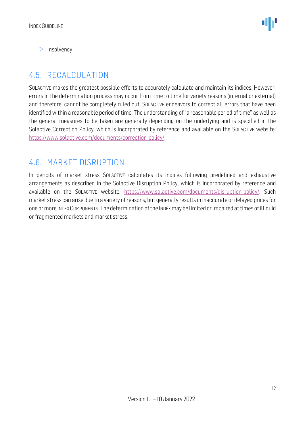$>$  Insolvency

### <span id="page-11-0"></span>4.5. RECALCULATION

SOLACTIVE makes the greatest possible efforts to accurately calculate and maintain its indices. However, errors in the determination process may occur from time to time for variety reasons (internal or external) and therefore, cannot be completely ruled out. SOLACTIVE endeavors to correct all errors that have been identified within a reasonable period of time. The understanding of "a reasonable period of time" as well as the general measures to be taken are generally depending on the underlying and is specified in the Solactive Correction Policy, which is incorporated by reference and available on the SOLACTIVE website: [https://www.solactive.com/documents/correction-policy/.](https://www.solactive.com/documents/correction-policy/)

#### <span id="page-11-1"></span>4.6. MARKET DISRUPTION

In periods of market stress SOLACTIVE calculates its indices following predefined and exhaustive arrangements as described in the Solactive Disruption Policy, which is incorporated by reference and available on the SOLACTIVE website: [https://www.solactive.com/documents/disruption-policy/.](https://www.solactive.com/documents/disruption-policy/) Such market stress can arise due to a variety of reasons, but generally results in inaccurate or delayed prices for one or more INDEXCOMPONENTS. The determination of the INDEXmay be limited or impaired at times of illiquid or fragmented markets and market stress.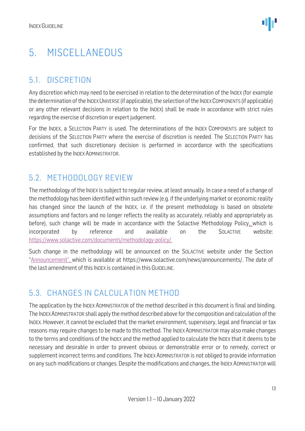### <span id="page-12-0"></span>5. MISCELLANEOUS

### <span id="page-12-1"></span>5.1. DISCRETION

Any discretion which may need to be exercised in relation to the determination of the INDEX (for example the determination of the INDEX UNIVERSE (if applicable), the selection of the INDEX COMPONENTS (if applicable) or any other relevant decisions in relation to the INDEX) shall be made in accordance with strict rules regarding the exercise of discretion or expert judgement.

For the INDEX, a SELECTION PARTY is used. The determinations of the INDEX COMPONENTS are subject to decisions of the SELECTION PARTY where the exercise of discretion is needed. The SELECTION PARTY has confirmed, that such discretionary decision is performed in accordance with the specifications established by the INDEX ADMINISTRATOR.

### <span id="page-12-2"></span>5.2. METHODOLOGY REVIEW

The methodology of the INDEX is subject to regular review, at least annually. In case a need of a change of the methodology has been identified within such review (e.g. if the underlying market or economic reality has changed since the launch of the INDEX, i.e. if the present methodology is based on obsolete assumptions and factors and no longer reflects the reality as accurately, reliably and appropriately as before), such change will be made in accordance with the Solactive Methodology Policy, which is incorporated by reference and available on the SOLACTIVE website: [https://www.solactive.com/documents/methodology-policy/.](https://www.solactive.com/documents/methodology-policy/)

Such change in the methodology will be announced on the SOLACTIVE website under the Section "Announcement", which is available at https://www.solactive.com/news/announcements/. The date of the last amendment of this INDEX is contained in this GUIDELINE.

### <span id="page-12-3"></span>5.3. CHANGES IN CALCULATION METHOD

The application by the INDEX ADMINISTRATOR of the method described in this document is final and binding. The INDEXADMINISTRATOR shall apply the method described above for the composition and calculation of the INDEX. However, it cannot be excluded that the market environment, supervisory, legal and financial or tax reasons may require changes to be made to this method. The INDEX ADMINISTRATOR may also make changes to the terms and conditions of the INDEX and the method applied to calculate the INDEX that it deems to be necessary and desirable in order to prevent obvious or demonstrable error or to remedy, correct or supplement incorrect terms and conditions. The INDEX ADMINISTRATOR is not obliged to provide information on any such modifications or changes. Despite the modifications and changes, the INDEX ADMINISTRATOR will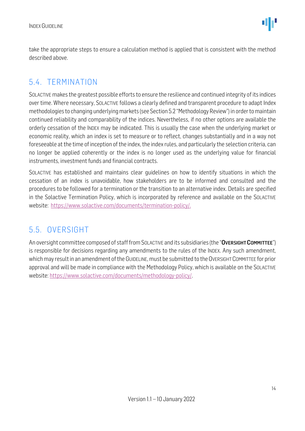take the appropriate steps to ensure a calculation method is applied that is consistent with the method described above.

#### <span id="page-13-0"></span>5.4. TERMINATION

SOLACTIVE makes the greatest possible efforts to ensure the resilience and continued integrity of its indices over time. Where necessary, SOLACTIVE follows a clearly defined and transparent procedure to adapt Index methodologies to changing underlying markets (see Section 5.2 "Methodology Review") in order to maintain continued reliability and comparability of the indices. Nevertheless, if no other options are available the orderly cessation of the INDEX may be indicated. This is usually the case when the underlying market or economic reality, which an index is set to measure or to reflect, changes substantially and in a way not foreseeable at the time of inception of the index, the index rules, and particularly the selection criteria, can no longer be applied coherently or the index is no longer used as the underlying value for financial instruments, investment funds and financial contracts.

SOLACTIVE has established and maintains clear guidelines on how to identify situations in which the cessation of an index is unavoidable, how stakeholders are to be informed and consulted and the procedures to be followed for a termination or the transition to an alternative index. Details are specified in the Solactive Termination Policy, which is incorporated by reference and available on the SOLACTIVE website: [https://www.solactive.com/documents/termination-policy/.](https://www.solactive.com/documents/termination-policy/)

### <span id="page-13-1"></span>5.5. OVERSIGHT

An oversight committee composed of staff from SOLACTIVE and its subsidiaries (the "OVERSIGHT COMMITTEE") is responsible for decisions regarding any amendments to the rules of the INDEX. Any such amendment, which may result in an amendment of the GUIDELINE, must be submitted to the OVERSIGHT COMMITTEE for prior approval and will be made in compliance with the [Methodology](http://methodology/) Policy, which is available on the SOLACTIVE website: [https://www.solactive.com/documents/methodology-policy/.](https://www.solactive.com/documents/methodology-policy/)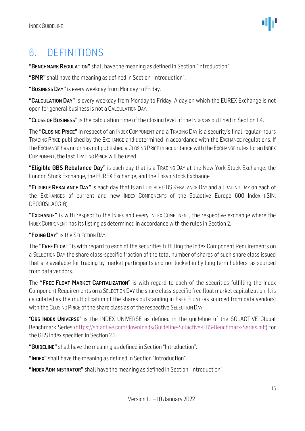### <span id="page-14-0"></span>6. DEFINITIONS

"BENCHMARK REGULATION" shall have the meaning as defined in Section "Introduction".

"BMR" shall have the meaning as defined in Section "Introduction".

"BUSINESS DAY" is every weekday from Monday to Friday.

"CALCULATION DAY" is every weekday from Monday to Friday. A day on which the EUREX Exchange is not open for general business is not a CALCULATION DAY.

"CLOSE OF BUSINESS" is the calculation time of the closing level of the INDEX as outlined in Section 1.4.

The "CLOSING PRICE" in respect of an INDEX COMPONENT and a TRADING DAY is a security's final regular-hours TRADING PRICE published by the EXCHANGE and determined in accordance with the EXCHANGE regulations. If the EXCHANGE has no or has not published a CLOSING PRICE in accordance with the EXCHANGE rules for an INDEX COMPONENT, the last TRADING PRICE will be used.

"Eligible GBS Rebalance Day" is each day that is a TRADING DAY at the New York Stock Exchange, the London Stock Exchange, the EUREX Exchange, and the Tokyo Stock Exchange

"ELIGIBLE REBALANCE DAY" is each day that is an ELIGIBLE GBS REBALANCE DAY and a TRADING DAY on each of the EXCHANGES of current and new INDEX COMPONENTS of the Solactive Europe 600 Index (ISIN: DE000SLA9G16).

"EXCHANGE" is with respect to the INDEX and every INDEX COMPONENT, the respective exchange where the INDEX COMPONENT has its listing as determined in accordance with the rules in Section 2.

"FIXING DAY" is the SELECTION DAY.

The "FREE FLOAT" is with regard to each of the securities fulfilling the Index Component Requirements on a SELECTION DAY the share class-specific fraction of the total number of shares of such share class issued that are available for trading by market participants and not locked-in by long term holders, as sourced from data vendors.

The "FREE FLOAT MARKET CAPITALIZATION" is with regard to each of the securities fulfilling the Index Component Requirements on a SELECTION DAY the share class-specific free float market capitalization. It is calculated as the multiplication of the shares outstanding in FREE FLOAT (as sourced from data vendors) with the CLOSING PRICE of the share class as of the respective SELECTION DAY.

"GBS INDEX UNIVERSE" is the INDEX UNIVERSE as defined in the quideline of the SOLACTIVE Global Benchmark Series [\(https://solactive.com/downloads/Guideline-Solactive-GBS-Benchmark-Series.pdf\)](https://solactive.com/downloads/Guideline-Solactive-GBS-Benchmark-Series.pdf) for the GBS Index specified in Section 2.1.

"GUIDELINE" shall have the meaning as defined in Section "Introduction".

"INDEX" shall have the meaning as defined in Section "Introduction".

"INDEX ADMINISTRATOR" shall have the meaning as defined in Section "Introduction".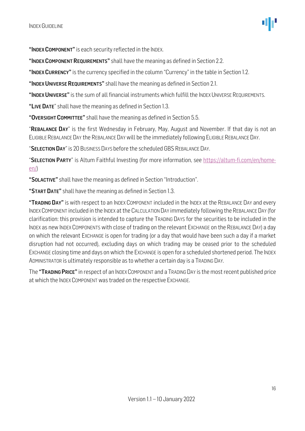"INDEX COMPONENT" is each security reflected in the INDEX.

"INDEX COMPONENT REQUIREMENTS" shall have the meaning as defined in Section 2.2.

"INDEX CURRENCY" is the currency specified in the column "Currency" in the table in Section 1.2.

"INDEX UNIVERSE REQUIREMENTS" shall have the meaning as defined in Section 2.1.

"INDEX UNIVERSE" is the sum of all financial instruments which fulfill the INDEX UNIVERSE REQUIREMENTS.

"LIVE DATE" shall have the meaning as defined in Section 1.3.

"OVERSIGHT COMMITTEE" shall have the meaning as defined in Section 5.5.

"REBALANCE DAY" is the first Wednesday in February, May, August and November. If that day is not an ELIGIBLE REBALANCE DAY the REBALANCE DAY will be the immediately following ELIGIBLE REBALANCE DAY.

"SELECTION DAY" is 20 BUSINESS DAYS before the scheduled GBS REBALANCE DAY.

"SELECTION PARTY" is Altum Faithful Investing (for more information, see [https://altum-fi.com/en/home](https://altum-fi.com/en/home-en/)[en/\)](https://altum-fi.com/en/home-en/)

"SOLACTIVE" shall have the meaning as defined in Section "Introduction".

"START DATE" shall have the meaning as defined in Section 1.3.

"TRADING DAY" is with respect to an INDEX COMPONENT included in the INDEX at the REBALANCE DAY and every INDEXCOMPONENT included in the INDEX at the CALCULATION DAY immediately following the REBALANCE DAY (for clarification: this provision is intended to capture the TRADING DAYS for the securities to be included in the INDEX as new INDEX COMPONENTS with close of trading on the relevant EXCHANGE on the REBALANCE DAY) a day on which the relevant EXCHANGE is open for trading (or a day that would have been such a day if a market disruption had not occurred), excluding days on which trading may be ceased prior to the scheduled EXCHANGE closing time and days on which the EXCHANGE is open for a scheduled shortened period. The INDEX ADMINISTRATOR is ultimately responsible as to whether a certain day is a TRADING DAY.

The "TRADING PRICE" in respect of an INDEX COMPONENT and a TRADING DAY is the most recent published price at which the INDEX COMPONENT was traded on the respective EXCHANGE.